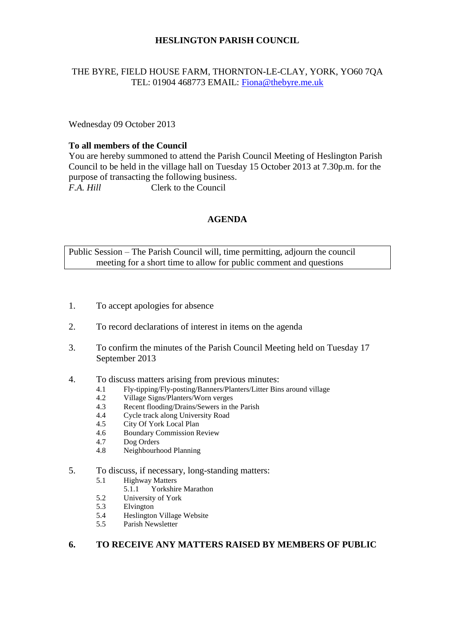# **HESLINGTON PARISH COUNCIL**

## THE BYRE, FIELD HOUSE FARM, THORNTON-LE-CLAY, YORK, YO60 7QA TEL: 01904 468773 EMAIL: [Fiona@thebyre.me.uk](mailto:Fiona@thebyre.me.uk)

Wednesday 09 October 2013

# **To all members of the Council**

You are hereby summoned to attend the Parish Council Meeting of Heslington Parish Council to be held in the village hall on Tuesday 15 October 2013 at 7.30p.m. for the purpose of transacting the following business. *F.A. Hill* Clerk to the Council

# **AGENDA**

Public Session – The Parish Council will, time permitting, adjourn the council meeting for a short time to allow for public comment and questions

- 1. To accept apologies for absence
- 2. To record declarations of interest in items on the agenda
- 3. To confirm the minutes of the Parish Council Meeting held on Tuesday 17 September 2013
- 4. To discuss matters arising from previous minutes:
	- 4.1 Fly-tipping/Fly-posting/Banners/Planters/Litter Bins around village<br>4.2 Village Signs/Planters/Worn verges
	- Village Signs/Planters/Worn verges
	- 4.3 Recent flooding/Drains/Sewers in the Parish
	- 4.4 Cycle track along University Road
	- 4.5 City Of York Local Plan
	- 4.6 Boundary Commission Review
	- 4.7 Dog Orders
	- 4.8 Neighbourhood Planning

## 5. To discuss, if necessary, long-standing matters:

- 5.1 Highway Matters<br>5.1.1 Yorkshir
	- Yorkshire Marathon
- 5.2 University of York
- 5.3 Elvington
- 5.4 Heslington Village Website
- 5.5 Parish Newsletter

## **6. TO RECEIVE ANY MATTERS RAISED BY MEMBERS OF PUBLIC**